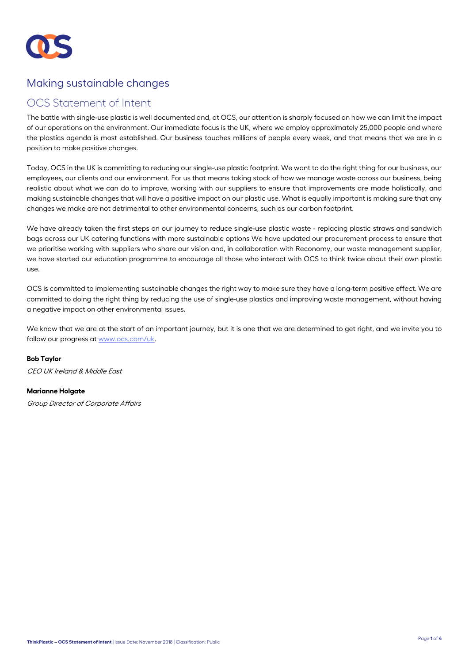

# Making sustainable changes

## OCS Statement of Intent

The battle with single-use plastic is well documented and, at OCS, our attention is sharply focused on how we can limit the impact of our operations on the environment. Our immediate focus is the UK, where we employ approximately 25,000 people and where the plastics agenda is most established. Our business touches millions of people every week, and that means that we are in a position to make positive changes.

Today, OCS in the UK is committing to reducing our single-use plastic footprint. We want to do the right thing for our business, our employees, our clients and our environment. For us that means taking stock of how we manage waste across our business, being realistic about what we can do to improve, working with our suppliers to ensure that improvements are made holistically, and making sustainable changes that will have a positive impact on our plastic use. What is equally important is making sure that any changes we make are not detrimental to other environmental concerns, such as our carbon footprint.

We have already taken the first steps on our journey to reduce single-use plastic waste - replacing plastic straws and sandwich bags across our UK catering functions with more sustainable options We have updated our procurement process to ensure that we prioritise working with suppliers who share our vision and, in collaboration with Reconomy, our waste management supplier, we have started our education programme to encourage all those who interact with OCS to think twice about their own plastic use.

OCS is committed to implementing sustainable changes the right way to make sure they have a long-term positive effect. We are committed to doing the right thing by reducing the use of single-use plastics and improving waste management, without having a negative impact on other environmental issues.

We know that we are at the start of an important journey, but it is one that we are determined to get right, and we invite you to follow our progress at www.ocs.com/uk.

**Bob Taylor**  CEO UK Ireland & Middle East

#### **Marianne Holgate**

Group Director of Corporate Affairs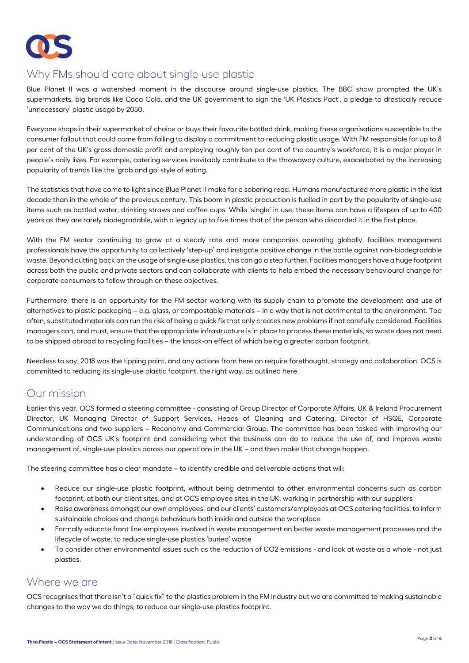

# Why FMs should care about single-use plastic

Blue Planet II was a watershed moment in the discourse around single-use plastics. The BBC show prompted the UK's supermarkets, big brands like Coca Cola, and the UK government to sign the 'UK Plastics Pact', a pledge to drastically reduce 'unnecessary' plastic usage by 2050.

Everyone shops in their supermarket of choice or buys their favourite bottled drink, making these organisations susceptible to the consumer fallout that could come from failing to display a commitment to reducing plastic usage. With FM responsible for up to 8 per cent of the UK's gross domestic profit and employing roughly ten per cent of the country's workforce, it is a major player in people's daily lives. For example, catering services inevitably contribute to the throwaway culture, exacerbated by the increasing popularity of trends like the 'grab and go' style of eating.

The statistics that have come to light since Blue Planet II make for a sobering read. Humans manufactured more plastic in the last decade than in the whole of the previous century. This boom in plastic production is fuelled in part by the popularity of single-use items such as bottled water, drinking straws and coffee cups. While 'single' in use, these items can have a lifespan of up to 400 years as they are rarely biodegradable, with a legacy up to five times that of the person who discarded it in the first place.

With the FM sector continuing to grow at a steady rate and more companies operating globally, facilities management professionals have the opportunity to collectively 'step-up' and instigate positive change in the battle against non-biodegradable waste. Beyond cutting back on the usage of single-use plastics, this can go a step further. Facilities managers have a huge footprint across both the public and private sectors and can collaborate with clients to help embed the necessary behavioural change for corporate consumers to follow through on these objectives.

Furthermore, there is an opportunity for the FM sector working with its supply chain to promote the development and use of alternatives to plastic packaging – e.g. glass, or compostable materials – in a way that is not detrimental to the environment. Too often, substituted materials can run the risk of being a quick fix that only creates new problems if not carefully considered. Facilities managers can, and must, ensure that the appropriate infrastructure is in place to process these materials, so waste does not need to be shipped abroad to recycling facilities – the knock-on effect of which being a greater carbon footprint.

Needless to say, 2018 was the tipping point, and any actions from here on require forethought, strategy and collaboration. OCS is committed to reducing its single-use plastic footprint, the right way, as outlined here.

# Our mission

Earlier this year, OCS formed a steering committee - consisting of Group Director of Corporate Affairs, UK & Ireland Procurement Director, UK Managing Director of Support Services, Heads of Cleaning and Catering, Director of HSQE, Corporate Communications and two suppliers – Reconomy and Commercial Group. The committee has been tasked with improving our understanding of OCS UK's footprint and considering what the business can do to reduce the use of, and improve waste management of, single-use plastics across our operations in the UK – and then make that change happen.

The steering committee has a clear mandate – to identify credible and deliverable actions that will:

- Reduce our single-use plastic footprint, without being detrimental to other environmental concerns such as carbon footprint, at both our client sites, and at OCS employee sites in the UK, working in partnership with our suppliers
- Raise awareness amongst our own employees, and our clients' customers/employees at OCS catering facilities, to inform sustainable choices and change behaviours both inside and outside the workplace
- Formally educate front line employees involved in waste management on better waste management processes and the lifecycle of waste, to reduce single-use plastics 'buried' waste
- To consider other environmental issues such as the reduction of CO2 emissions and look at waste as a whole not just plastics.

## Where we are

OCS recognises that there isn't a "quick fix" to the plastics problem in the FM industry but we are committed to making sustainable changes to the way we do things, to reduce our single-use plastics footprint.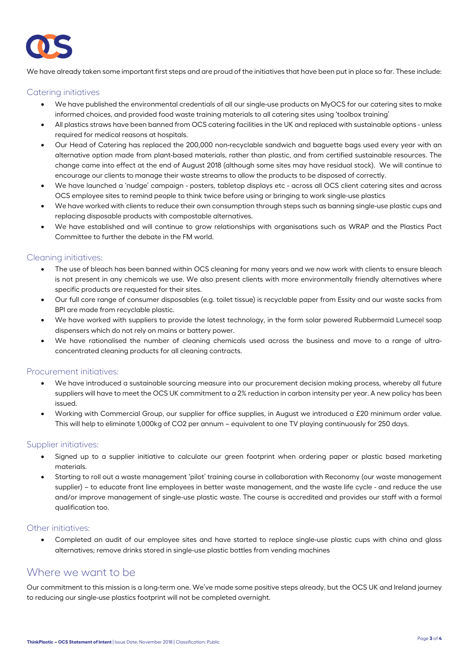

We have already taken some important first steps and are proud of the initiatives that have been put in place so far. These include:

#### Catering initiatives

- We have published the environmental credentials of all our single-use products on MyOCS for our catering sites to make informed choices, and provided food waste training materials to all catering sites using 'toolbox training'
- All plastics straws have been banned from OCS catering facilities in the UK and replaced with sustainable options unless required for medical reasons at hospitals.
- Our Head of Catering has replaced the 200,000 non-recyclable sandwich and baguette bags used every year with an alternative option made from plant-based materials, rather than plastic, and from certified sustainable resources. The change came into effect at the end of August 2018 (although some sites may have residual stock). We will continue to encourage our clients to manage their waste streams to allow the products to be disposed of correctly.
- We have launched a 'nudge' campaign posters, tabletop displays etc across all OCS client catering sites and across OCS employee sites to remind people to think twice before using or bringing to work single-use plastics
- We have worked with clients to reduce their own consumption through steps such as banning single-use plastic cups and replacing disposable products with compostable alternatives.
- We have established and will continue to grow relationships with organisations such as WRAP and the Plastics Pact Committee to further the debate in the FM world.

#### Cleaning initiatives:

- The use of bleach has been banned within OCS cleaning for many years and we now work with clients to ensure bleach is not present in any chemicals we use. We also present clients with more environmentally friendly alternatives where specific products are requested for their sites.
- Our full core range of consumer disposables (e.g. toilet tissue) is recyclable paper from Essity and our waste sacks from BPI are made from recyclable plastic.
- We have worked with suppliers to provide the latest technology, in the form solar powered Rubbermaid Lumecel soap dispensers which do not rely on mains or battery power.
- We have rationalised the number of cleaning chemicals used across the business and move to a range of ultraconcentrated cleaning products for all cleaning contracts.

#### Procurement initiatives:

- We have introduced a sustainable sourcing measure into our procurement decision making process, whereby all future suppliers will have to meet the OCS UK commitment to a 2% reduction in carbon intensity per year. A new policy has been issued.
- Working with Commercial Group, our supplier for office supplies, in August we introduced a £20 minimum order value. This will help to eliminate 1,000kg of CO2 per annum – equivalent to one TV playing continuously for 250 days.

#### Supplier initiatives:

- Signed up to a supplier initiative to calculate our green footprint when ordering paper or plastic based marketing materials.
- Starting to roll out a waste management 'pilot' training course in collaboration with Reconomy (our waste management supplier) – to educate front line employees in better waste management, and the waste life cycle - and reduce the use and/or improve management of single-use plastic waste. The course is accredited and provides our staff with a formal qualification too.

#### Other initiatives:

 Completed an audit of our employee sites and have started to replace single-use plastic cups with china and glass alternatives; remove drinks stored in single-use plastic bottles from vending machines

## Where we want to be

Our commitment to this mission is a long-term one. We've made some positive steps already, but the OCS UK and Ireland journey to reducing our single-use plastics footprint will not be completed overnight.